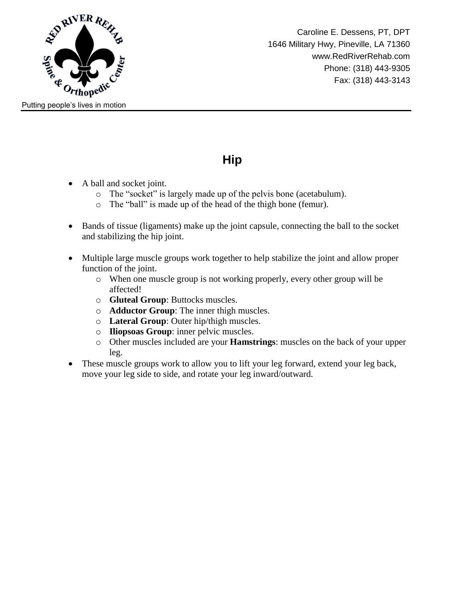

### **Hip**

- A ball and socket joint.
	- o The "socket" is largely made up of the pelvis bone (acetabulum).
	- o The "ball" is made up of the head of the thigh bone (femur).
- Bands of tissue (ligaments) make up the joint capsule, connecting the ball to the socket and stabilizing the hip joint.
- Multiple large muscle groups work together to help stabilize the joint and allow proper function of the joint.
	- o When one muscle group is not working properly, every other group will be affected!
	- o **Gluteal Group**: Buttocks muscles.
	- o **Adductor Group**: The inner thigh muscles.
	- o **Lateral Group**: Outer hip/thigh muscles.
	- o **Iliopsoas Group**: inner pelvic muscles.
	- o Other muscles included are your **Hamstrings**: muscles on the back of your upper leg.
- These muscle groups work to allow you to lift your leg forward, extend your leg back, move your leg side to side, and rotate your leg inward/outward.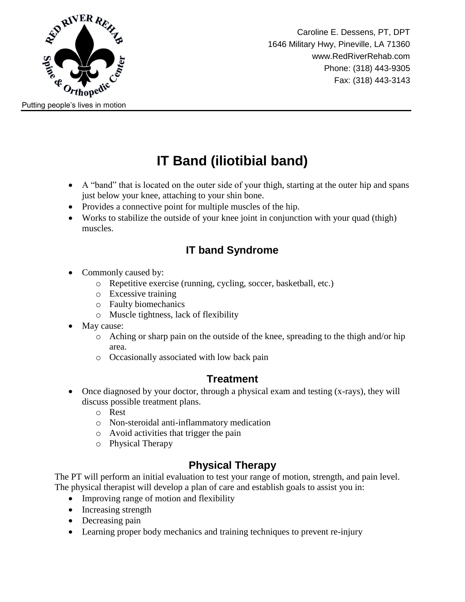

# **IT Band (iliotibial band)**

- A "band" that is located on the outer side of your thigh, starting at the outer hip and spans just below your knee, attaching to your shin bone.
- Provides a connective point for multiple muscles of the hip.
- Works to stabilize the outside of your knee joint in conjunction with your quad (thigh) muscles.

### **IT band Syndrome**

- Commonly caused by:
	- o Repetitive exercise (running, cycling, soccer, basketball, etc.)
	- o Excessive training
	- o Faulty biomechanics
	- o Muscle tightness, lack of flexibility
- May cause:
	- o Aching or sharp pain on the outside of the knee, spreading to the thigh and/or hip area.
	- o Occasionally associated with low back pain

#### **Treatment**

- Once diagnosed by your doctor, through a physical exam and testing (x-rays), they will discuss possible treatment plans.
	- o Rest
	- o Non-steroidal anti-inflammatory medication
	- o Avoid activities that trigger the pain
	- o Physical Therapy

### **Physical Therapy**

The PT will perform an initial evaluation to test your range of motion, strength, and pain level. The physical therapist will develop a plan of care and establish goals to assist you in:

- Improving range of motion and flexibility
- Increasing strength
- Decreasing pain
- Learning proper body mechanics and training techniques to prevent re-injury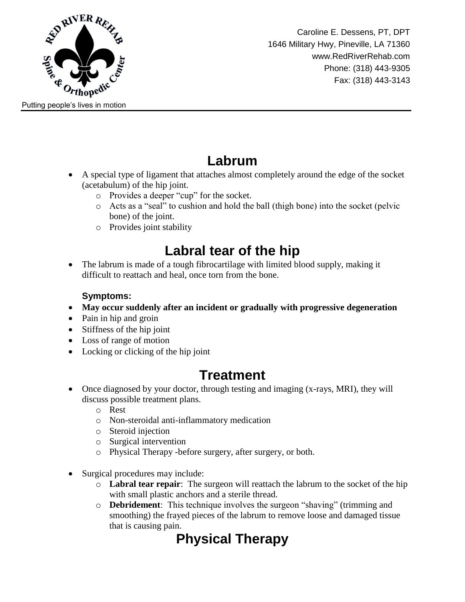

Caroline E. Dessens, PT, DPT 1646 Military Hwy, Pineville, LA 71360 www.RedRiverRehab.com Phone: (318) 443-9305 Fax: (318) 443-3143

### **Labrum**

- A special type of ligament that attaches almost completely around the edge of the socket (acetabulum) of the hip joint.
	- o Provides a deeper "cup" for the socket.
	- o Acts as a "seal" to cushion and hold the ball (thigh bone) into the socket (pelvic bone) of the joint.
	- o Provides joint stability

## **Labral tear of the hip**

• The labrum is made of a tough fibrocartilage with limited blood supply, making it difficult to reattach and heal, once torn from the bone.

#### **Symptoms:**

- **May occur suddenly after an incident or gradually with progressive degeneration**
- Pain in hip and groin
- Stiffness of the hip joint
- Loss of range of motion
- Locking or clicking of the hip joint

## **Treatment**

- Once diagnosed by your doctor, through testing and imaging (x-rays, MRI), they will discuss possible treatment plans.
	- o Rest
	- o Non-steroidal anti-inflammatory medication
	- o Steroid injection
	- o Surgical intervention
	- o Physical Therapy -before surgery, after surgery, or both.
- Surgical procedures may include:
	- o **Labral tear repair**: The surgeon will reattach the labrum to the socket of the hip with small plastic anchors and a sterile thread.
	- o **Debridement**: This technique involves the surgeon "shaving" (trimming and smoothing) the frayed pieces of the labrum to remove loose and damaged tissue that is causing pain.

## **Physical Therapy**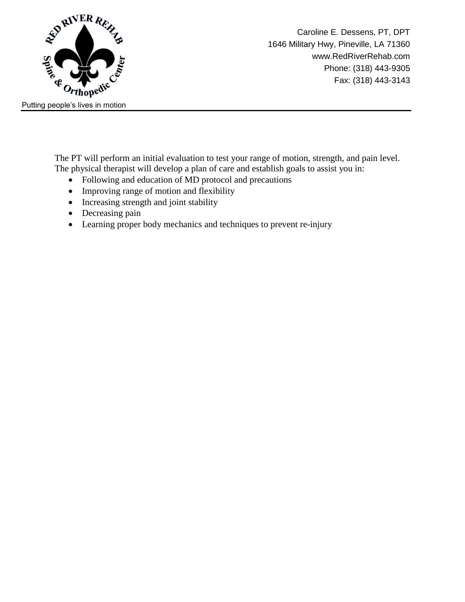

The PT will perform an initial evaluation to test your range of motion, strength, and pain level. The physical therapist will develop a plan of care and establish goals to assist you in:

- Following and education of MD protocol and precautions
- Improving range of motion and flexibility
- Increasing strength and joint stability
- Decreasing pain
- Learning proper body mechanics and techniques to prevent re-injury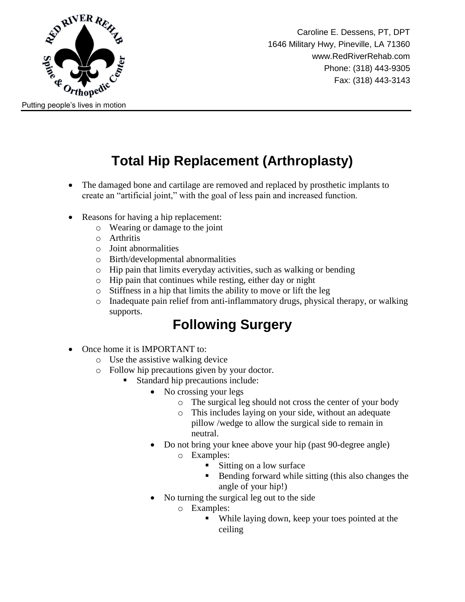

Caroline E. Dessens, PT, DPT 1646 Military Hwy, Pineville, LA 71360 www.RedRiverRehab.com Phone: (318) 443-9305 Fax: (318) 443-3143

# **Total Hip Replacement (Arthroplasty)**

- The damaged bone and cartilage are removed and replaced by prosthetic implants to create an "artificial joint," with the goal of less pain and increased function.
- Reasons for having a hip replacement:
	- o Wearing or damage to the joint
	- o Arthritis
	- o Joint abnormalities
	- o Birth/developmental abnormalities
	- o Hip pain that limits everyday activities, such as walking or bending
	- o Hip pain that continues while resting, either day or night
	- o Stiffness in a hip that limits the ability to move or lift the leg
	- o Inadequate pain relief from anti-inflammatory drugs, physical therapy, or walking supports.

### **Following Surgery**

- Once home it is IMPORTANT to:
	- o Use the assistive walking device
	- o Follow hip precautions given by your doctor.
		- Standard hip precautions include:
			- No crossing your legs
				- o The surgical leg should not cross the center of your body
				- o This includes laying on your side, without an adequate pillow /wedge to allow the surgical side to remain in neutral.
			- Do not bring your knee above your hip (past 90-degree angle) o Examples:
				- Sitting on a low surface
					- Bending forward while sitting (this also changes the angle of your hip!)
			- No turning the surgical leg out to the side
				- o Examples:
					- While laying down, keep your toes pointed at the ceiling